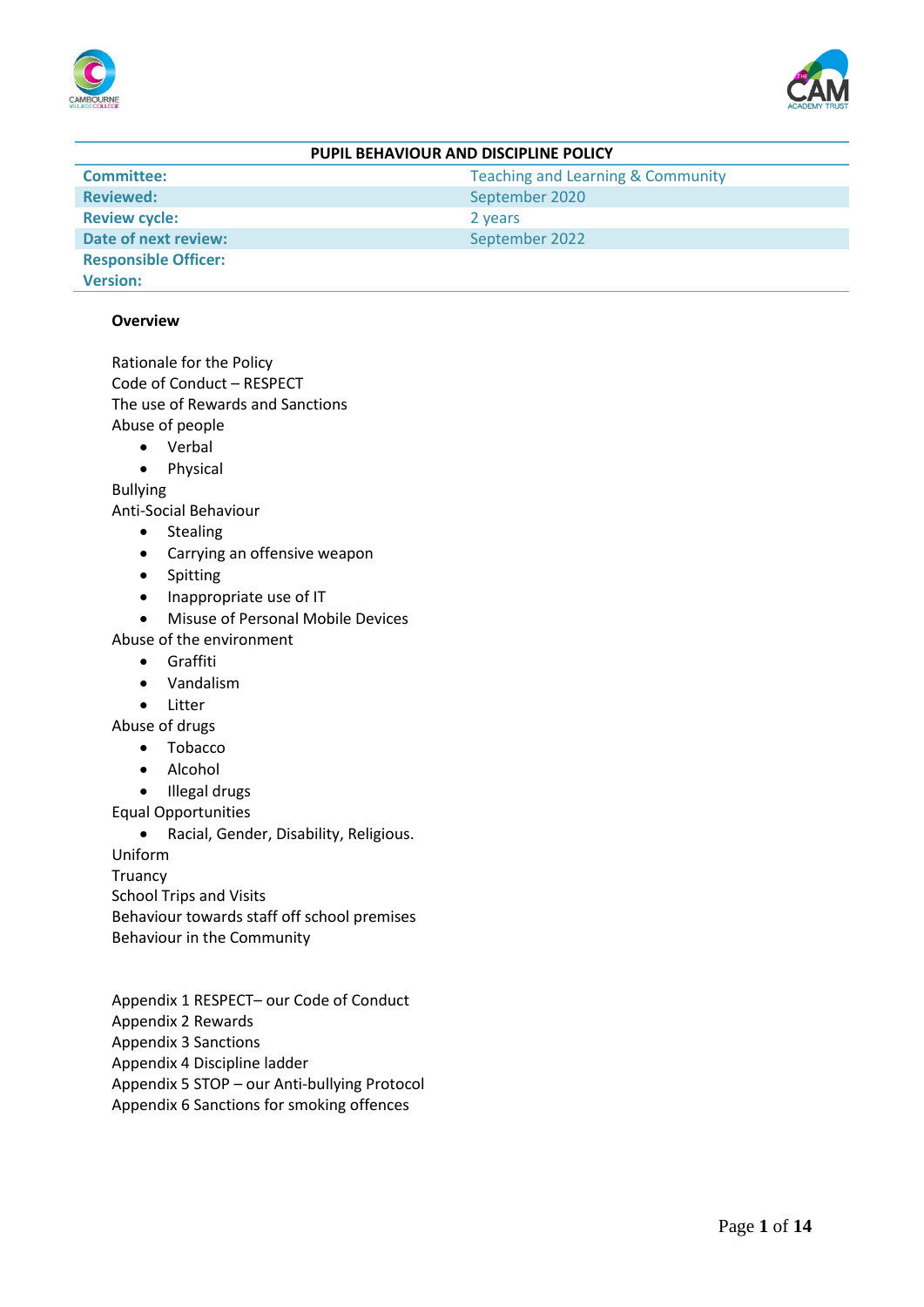



| PUPIL BEHAVIOUR AND DISCIPLINE POLICY |                                              |  |
|---------------------------------------|----------------------------------------------|--|
| <b>Committee:</b>                     | <b>Teaching and Learning &amp; Community</b> |  |
| <b>Reviewed:</b>                      | September 2020                               |  |
| <b>Review cycle:</b>                  | 2 years                                      |  |
| <b>Date of next review:</b>           | September 2022                               |  |
| <b>Responsible Officer:</b>           |                                              |  |
| <b>Version:</b>                       |                                              |  |

### **Overview**

Rationale for the Policy Code of Conduct – RESPECT The use of Rewards and Sanctions Abuse of people

- Verbal
- Physical

Bullying

Anti-Social Behaviour

- Stealing
- Carrying an offensive weapon
- Spitting
- Inappropriate use of IT
- Misuse of Personal Mobile Devices

Abuse of the environment

- Graffiti
- Vandalism
- Litter
- Abuse of drugs
	- Tobacco
	- Alcohol
	- Illegal drugs
- Equal Opportunities

• Racial, Gender, Disability, Religious.

Uniform

**Truancy** 

School Trips and Visits

Behaviour towards staff off school premises

Behaviour in the Community

Appendix 1 RESPECT– our Code of Conduct Appendix 2 Rewards Appendix 3 Sanctions Appendix 4 Discipline ladder Appendix 5 STOP – our Anti-bullying Protocol Appendix 6 Sanctions for smoking offences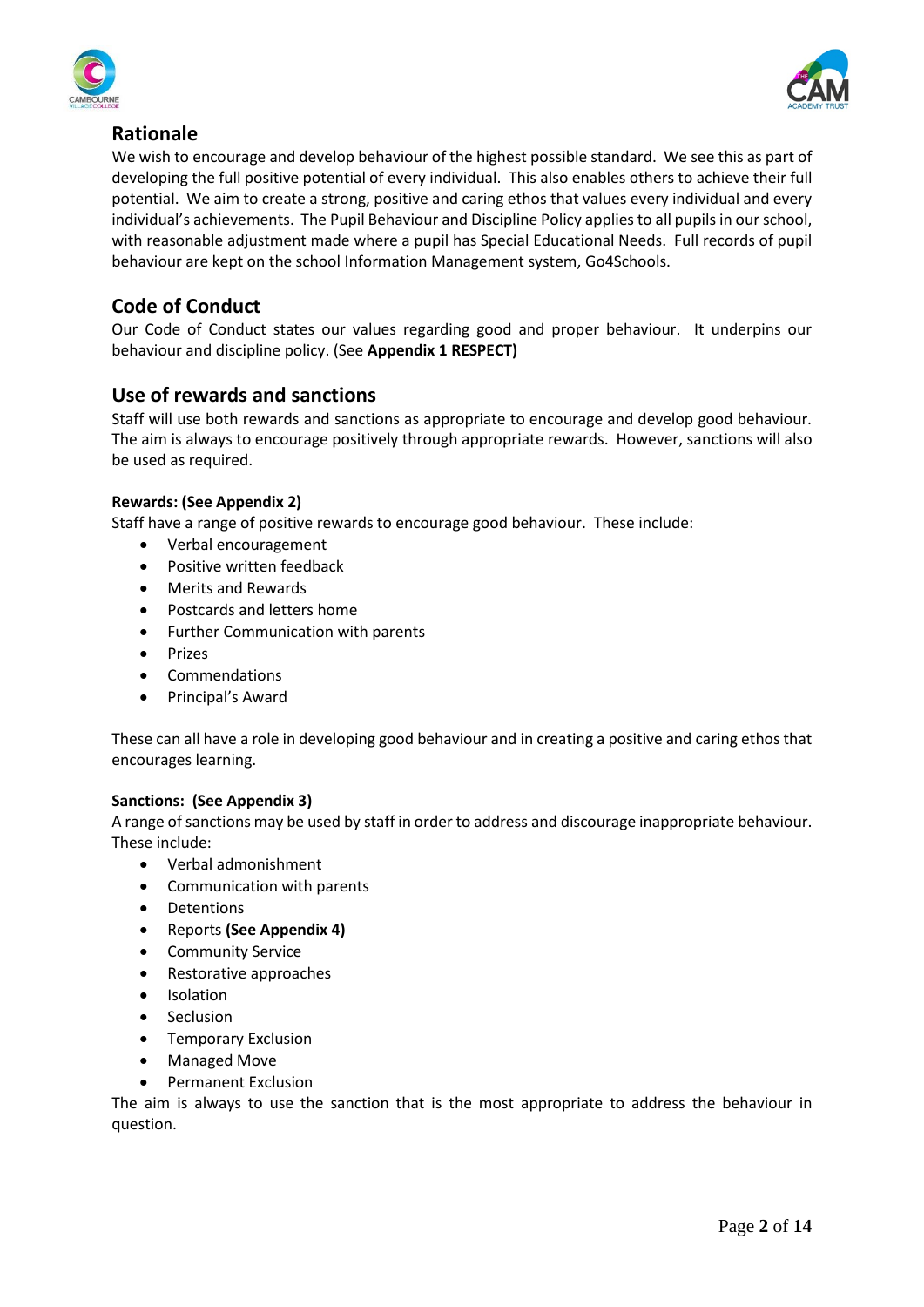



# **Rationale**

We wish to encourage and develop behaviour of the highest possible standard. We see this as part of developing the full positive potential of every individual. This also enables others to achieve their full potential. We aim to create a strong, positive and caring ethos that values every individual and every individual's achievements. The Pupil Behaviour and Discipline Policy applies to all pupils in our school, with reasonable adjustment made where a pupil has Special Educational Needs. Full records of pupil behaviour are kept on the school Information Management system, Go4Schools.

# **Code of Conduct**

Our Code of Conduct states our values regarding good and proper behaviour. It underpins our behaviour and discipline policy. (See **Appendix 1 RESPECT)**

# **Use of rewards and sanctions**

Staff will use both rewards and sanctions as appropriate to encourage and develop good behaviour. The aim is always to encourage positively through appropriate rewards. However, sanctions will also be used as required.

# **Rewards: (See Appendix 2)**

Staff have a range of positive rewards to encourage good behaviour. These include:

- Verbal encouragement
- Positive written feedback
- Merits and Rewards
- Postcards and letters home
- Further Communication with parents
- **Prizes**
- Commendations
- Principal's Award

These can all have a role in developing good behaviour and in creating a positive and caring ethos that encourages learning.

# **Sanctions: (See Appendix 3)**

A range of sanctions may be used by staff in order to address and discourage inappropriate behaviour. These include:

- Verbal admonishment
- Communication with parents
- Detentions
- Reports **(See Appendix 4)**
- Community Service
- Restorative approaches
- Isolation
- Seclusion
- Temporary Exclusion
- Managed Move
- Permanent Exclusion

The aim is always to use the sanction that is the most appropriate to address the behaviour in question.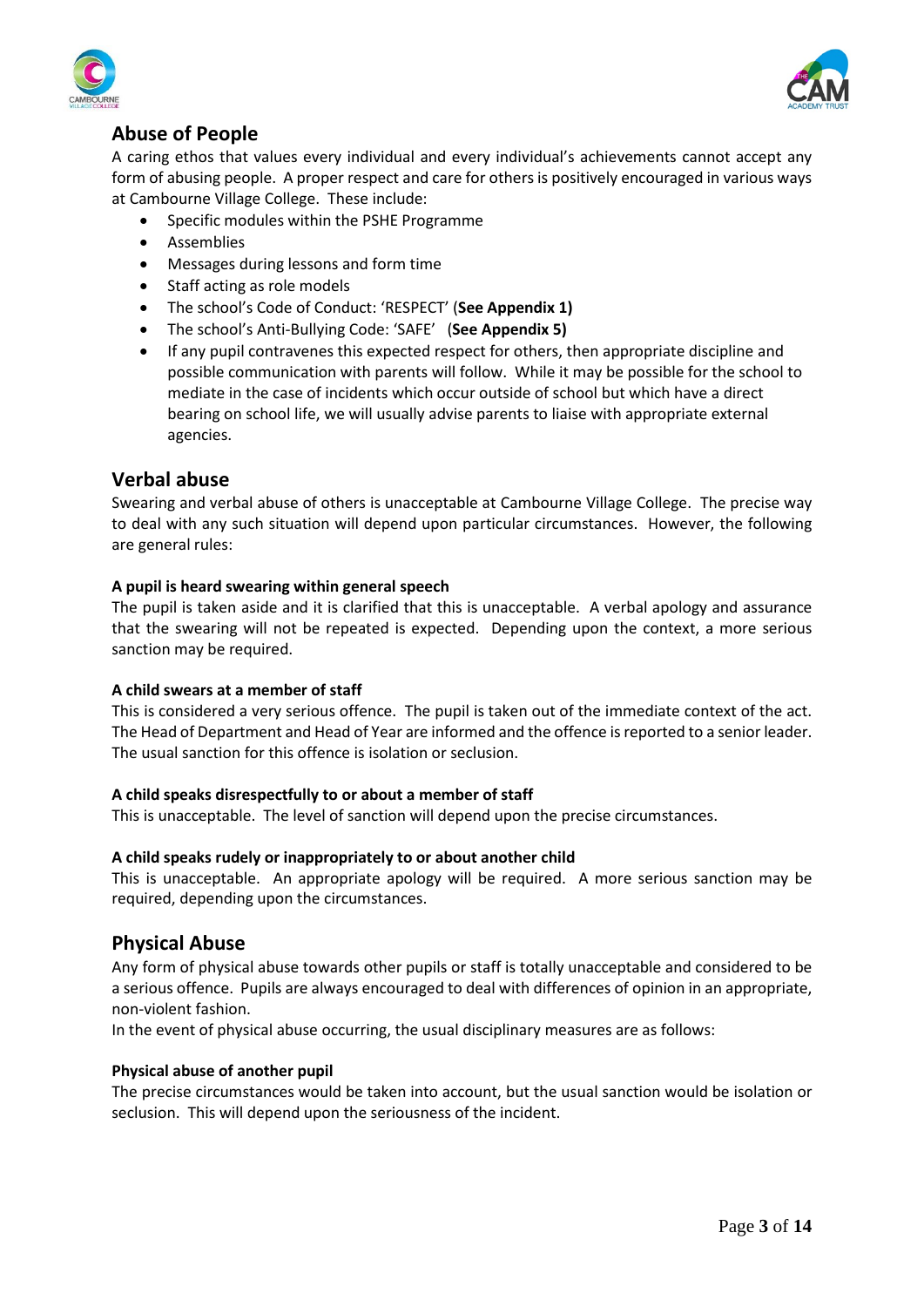



# **Abuse of People**

A caring ethos that values every individual and every individual's achievements cannot accept any form of abusing people. A proper respect and care for others is positively encouraged in various ways at Cambourne Village College. These include:

- Specific modules within the PSHE Programme
- Assemblies
- Messages during lessons and form time
- Staff acting as role models
- The school's Code of Conduct: 'RESPECT' (**See Appendix 1)**
- The school's Anti-Bullying Code: 'SAFE' (**See Appendix 5)**
- If any pupil contravenes this expected respect for others, then appropriate discipline and possible communication with parents will follow. While it may be possible for the school to mediate in the case of incidents which occur outside of school but which have a direct bearing on school life, we will usually advise parents to liaise with appropriate external agencies.

# **Verbal abuse**

Swearing and verbal abuse of others is unacceptable at Cambourne Village College. The precise way to deal with any such situation will depend upon particular circumstances. However, the following are general rules:

### **A pupil is heard swearing within general speech**

The pupil is taken aside and it is clarified that this is unacceptable. A verbal apology and assurance that the swearing will not be repeated is expected. Depending upon the context, a more serious sanction may be required.

#### **A child swears at a member of staff**

This is considered a very serious offence. The pupil is taken out of the immediate context of the act. The Head of Department and Head of Year are informed and the offence is reported to a senior leader. The usual sanction for this offence is isolation or seclusion.

# **A child speaks disrespectfully to or about a member of staff**

This is unacceptable. The level of sanction will depend upon the precise circumstances.

# **A child speaks rudely or inappropriately to or about another child**

This is unacceptable. An appropriate apology will be required. A more serious sanction may be required, depending upon the circumstances.

# **Physical Abuse**

Any form of physical abuse towards other pupils or staff is totally unacceptable and considered to be a serious offence. Pupils are always encouraged to deal with differences of opinion in an appropriate, non-violent fashion.

In the event of physical abuse occurring, the usual disciplinary measures are as follows:

# **Physical abuse of another pupil**

The precise circumstances would be taken into account, but the usual sanction would be isolation or seclusion. This will depend upon the seriousness of the incident.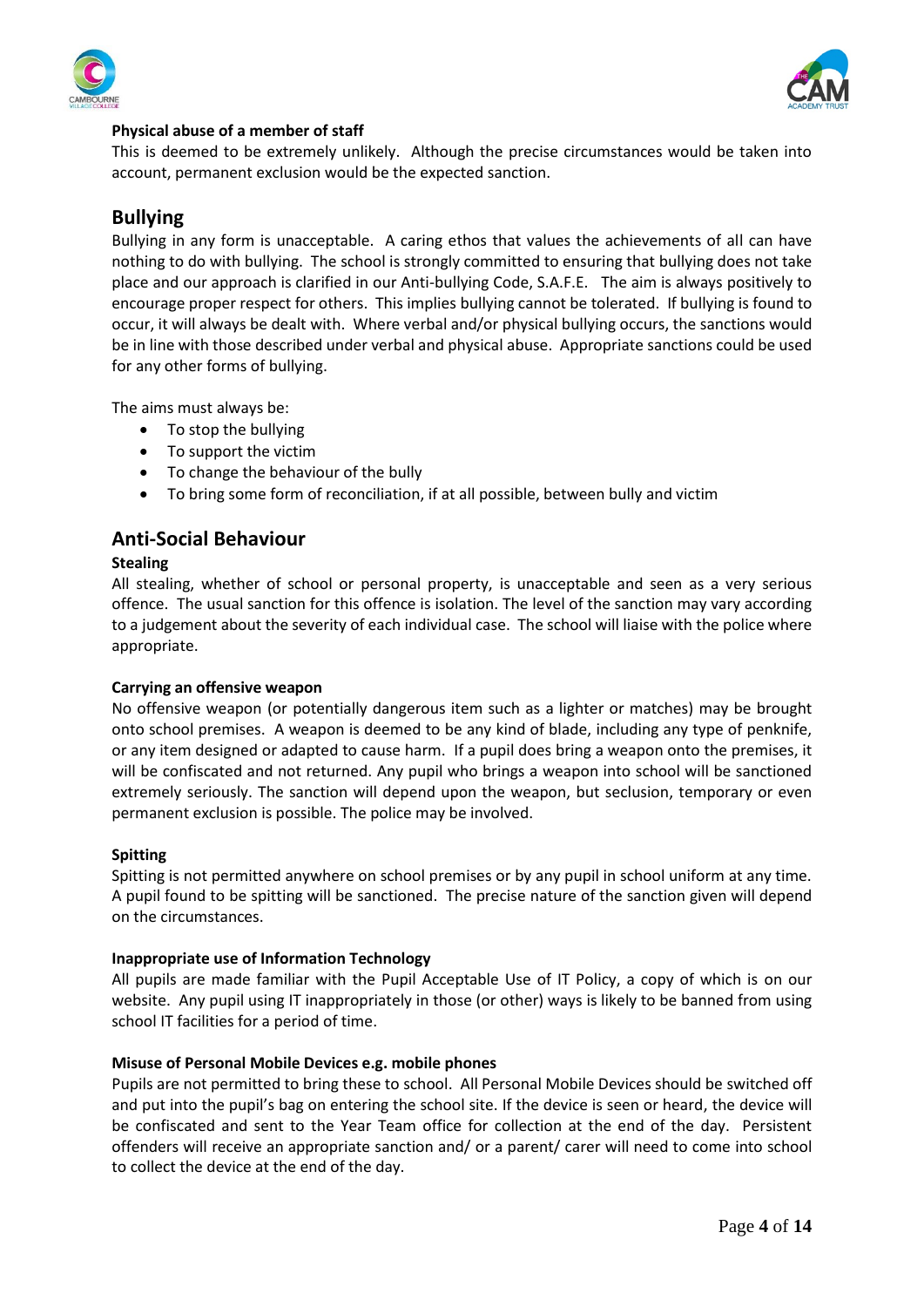



## **Physical abuse of a member of staff**

This is deemed to be extremely unlikely. Although the precise circumstances would be taken into account, permanent exclusion would be the expected sanction.

# **Bullying**

Bullying in any form is unacceptable. A caring ethos that values the achievements of all can have nothing to do with bullying. The school is strongly committed to ensuring that bullying does not take place and our approach is clarified in our Anti-bullying Code, S.A.F.E. The aim is always positively to encourage proper respect for others. This implies bullying cannot be tolerated. If bullying is found to occur, it will always be dealt with. Where verbal and/or physical bullying occurs, the sanctions would be in line with those described under verbal and physical abuse. Appropriate sanctions could be used for any other forms of bullying.

The aims must always be:

- To stop the bullying
- To support the victim
- To change the behaviour of the bully
- To bring some form of reconciliation, if at all possible, between bully and victim

# **Anti-Social Behaviour**

### **Stealing**

All stealing, whether of school or personal property, is unacceptable and seen as a very serious offence. The usual sanction for this offence is isolation. The level of the sanction may vary according to a judgement about the severity of each individual case. The school will liaise with the police where appropriate.

#### **Carrying an offensive weapon**

No offensive weapon (or potentially dangerous item such as a lighter or matches) may be brought onto school premises. A weapon is deemed to be any kind of blade, including any type of penknife, or any item designed or adapted to cause harm. If a pupil does bring a weapon onto the premises, it will be confiscated and not returned. Any pupil who brings a weapon into school will be sanctioned extremely seriously. The sanction will depend upon the weapon, but seclusion, temporary or even permanent exclusion is possible. The police may be involved.

#### **Spitting**

Spitting is not permitted anywhere on school premises or by any pupil in school uniform at any time. A pupil found to be spitting will be sanctioned. The precise nature of the sanction given will depend on the circumstances.

#### **Inappropriate use of Information Technology**

All pupils are made familiar with the Pupil Acceptable Use of IT Policy, a copy of which is on our website. Any pupil using IT inappropriately in those (or other) ways is likely to be banned from using school IT facilities for a period of time.

#### **Misuse of Personal Mobile Devices e.g. mobile phones**

Pupils are not permitted to bring these to school. All Personal Mobile Devices should be switched off and put into the pupil's bag on entering the school site. If the device is seen or heard, the device will be confiscated and sent to the Year Team office for collection at the end of the day. Persistent offenders will receive an appropriate sanction and/ or a parent/ carer will need to come into school to collect the device at the end of the day.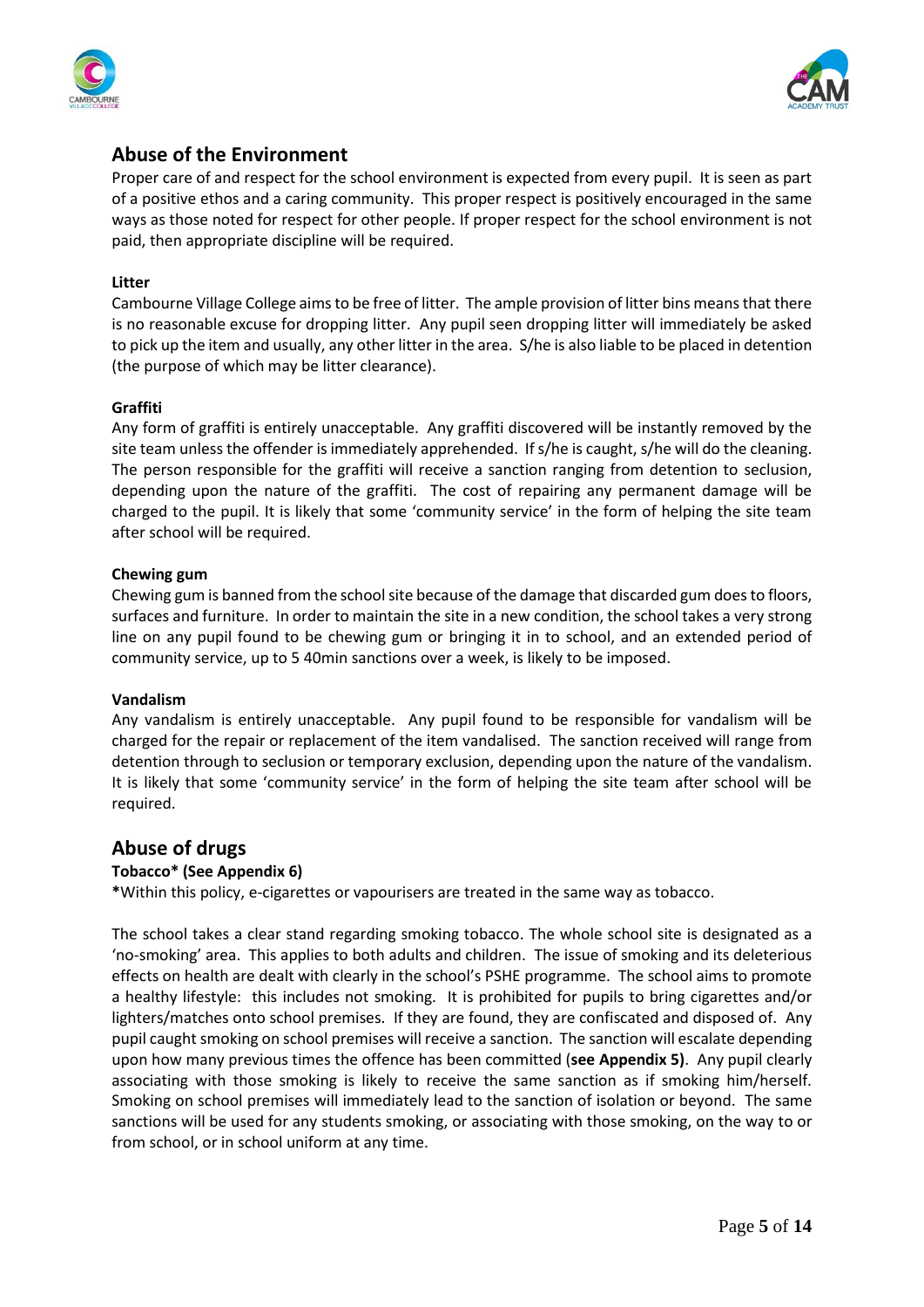



# **Abuse of the Environment**

Proper care of and respect for the school environment is expected from every pupil. It is seen as part of a positive ethos and a caring community. This proper respect is positively encouraged in the same ways as those noted for respect for other people. If proper respect for the school environment is not paid, then appropriate discipline will be required.

### **Litter**

Cambourne Village College aims to be free of litter. The ample provision of litter bins means that there is no reasonable excuse for dropping litter. Any pupil seen dropping litter will immediately be asked to pick up the item and usually, any other litter in the area. S/he is also liable to be placed in detention (the purpose of which may be litter clearance).

### **Graffiti**

Any form of graffiti is entirely unacceptable. Any graffiti discovered will be instantly removed by the site team unless the offender is immediately apprehended. If s/he is caught, s/he will do the cleaning. The person responsible for the graffiti will receive a sanction ranging from detention to seclusion, depending upon the nature of the graffiti. The cost of repairing any permanent damage will be charged to the pupil. It is likely that some 'community service' in the form of helping the site team after school will be required.

### **Chewing gum**

Chewing gum is banned from the school site because of the damage that discarded gum does to floors, surfaces and furniture. In order to maintain the site in a new condition, the school takes a very strong line on any pupil found to be chewing gum or bringing it in to school, and an extended period of community service, up to 5 40min sanctions over a week, is likely to be imposed.

#### **Vandalism**

Any vandalism is entirely unacceptable. Any pupil found to be responsible for vandalism will be charged for the repair or replacement of the item vandalised. The sanction received will range from detention through to seclusion or temporary exclusion, depending upon the nature of the vandalism. It is likely that some 'community service' in the form of helping the site team after school will be required.

# **Abuse of drugs**

# **Tobacco\* (See Appendix 6)**

**\***Within this policy, e-cigarettes or vapourisers are treated in the same way as tobacco.

The school takes a clear stand regarding smoking tobacco. The whole school site is designated as a 'no-smoking' area. This applies to both adults and children. The issue of smoking and its deleterious effects on health are dealt with clearly in the school's PSHE programme. The school aims to promote a healthy lifestyle: this includes not smoking. It is prohibited for pupils to bring cigarettes and/or lighters/matches onto school premises. If they are found, they are confiscated and disposed of. Any pupil caught smoking on school premises will receive a sanction. The sanction will escalate depending upon how many previous times the offence has been committed (**see Appendix 5)**. Any pupil clearly associating with those smoking is likely to receive the same sanction as if smoking him/herself. Smoking on school premises will immediately lead to the sanction of isolation or beyond. The same sanctions will be used for any students smoking, or associating with those smoking, on the way to or from school, or in school uniform at any time.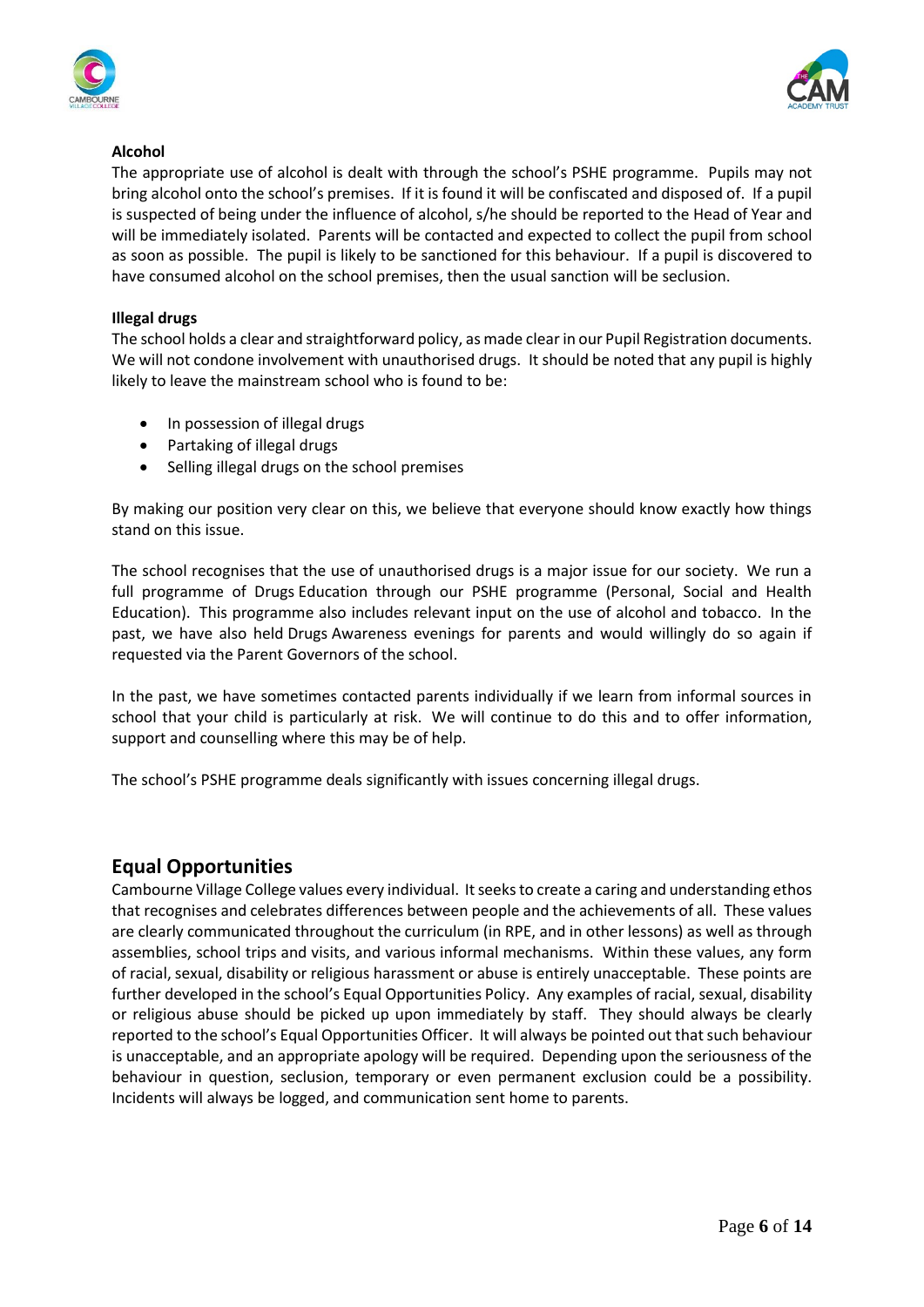



# **Alcohol**

The appropriate use of alcohol is dealt with through the school's PSHE programme. Pupils may not bring alcohol onto the school's premises. If it is found it will be confiscated and disposed of. If a pupil is suspected of being under the influence of alcohol, s/he should be reported to the Head of Year and will be immediately isolated. Parents will be contacted and expected to collect the pupil from school as soon as possible. The pupil is likely to be sanctioned for this behaviour. If a pupil is discovered to have consumed alcohol on the school premises, then the usual sanction will be seclusion.

### **Illegal drugs**

The school holds a clear and straightforward policy, as made clear in our Pupil Registration documents. We will not condone involvement with unauthorised drugs.  It should be noted that any pupil is highly likely to leave the mainstream school who is found to be:

- In possession of illegal drugs
- Partaking of illegal drugs
- Selling illegal drugs on the school premises

By making our position very clear on this, we believe that everyone should know exactly how things stand on this issue.

The school recognises that the use of unauthorised drugs is a major issue for our society.  We run a full programme of Drugs Education through our PSHE programme (Personal, Social and Health Education).  This programme also includes relevant input on the use of alcohol and tobacco.  In the past, we have also held Drugs Awareness evenings for parents and would willingly do so again if requested via the Parent Governors of the school.

In the past, we have sometimes contacted parents individually if we learn from informal sources in school that your child is particularly at risk.  We will continue to do this and to offer information, support and counselling where this may be of help.

The school's PSHE programme deals significantly with issues concerning illegal drugs.

# **Equal Opportunities**

Cambourne Village College values every individual. It seeks to create a caring and understanding ethos that recognises and celebrates differences between people and the achievements of all. These values are clearly communicated throughout the curriculum (in RPE, and in other lessons) as well as through assemblies, school trips and visits, and various informal mechanisms. Within these values, any form of racial, sexual, disability or religious harassment or abuse is entirely unacceptable. These points are further developed in the school's Equal Opportunities Policy. Any examples of racial, sexual, disability or religious abuse should be picked up upon immediately by staff. They should always be clearly reported to the school's Equal Opportunities Officer. It will always be pointed out that such behaviour is unacceptable, and an appropriate apology will be required. Depending upon the seriousness of the behaviour in question, seclusion, temporary or even permanent exclusion could be a possibility. Incidents will always be logged, and communication sent home to parents.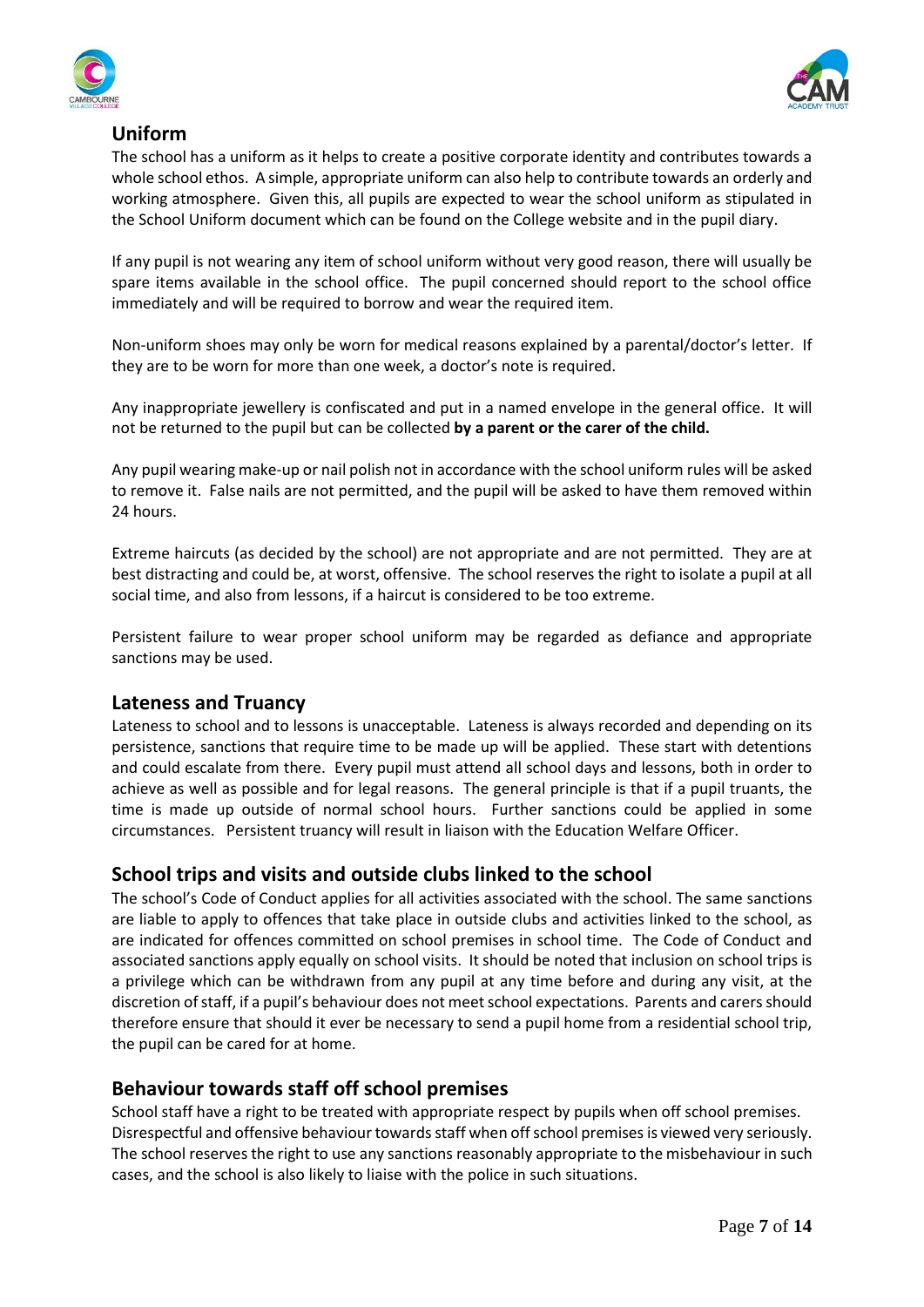



# **Uniform**

The school has a uniform as it helps to create a positive corporate identity and contributes towards a whole school ethos. A simple, appropriate uniform can also help to contribute towards an orderly and working atmosphere. Given this, all pupils are expected to wear the school uniform as stipulated in the School Uniform document which can be found on the College website and in the pupil diary.

If any pupil is not wearing any item of school uniform without very good reason, there will usually be spare items available in the school office. The pupil concerned should report to the school office immediately and will be required to borrow and wear the required item.

Non-uniform shoes may only be worn for medical reasons explained by a parental/doctor's letter. If they are to be worn for more than one week, a doctor's note is required.

Any inappropriate jewellery is confiscated and put in a named envelope in the general office. It will not be returned to the pupil but can be collected **by a parent or the carer of the child.** 

Any pupil wearing make-up or nail polish not in accordance with the school uniform rules will be asked to remove it. False nails are not permitted, and the pupil will be asked to have them removed within 24 hours.

Extreme haircuts (as decided by the school) are not appropriate and are not permitted. They are at best distracting and could be, at worst, offensive. The school reserves the right to isolate a pupil at all social time, and also from lessons, if a haircut is considered to be too extreme.

Persistent failure to wear proper school uniform may be regarded as defiance and appropriate sanctions may be used.

# **Lateness and Truancy**

Lateness to school and to lessons is unacceptable. Lateness is always recorded and depending on its persistence, sanctions that require time to be made up will be applied. These start with detentions and could escalate from there. Every pupil must attend all school days and lessons, both in order to achieve as well as possible and for legal reasons. The general principle is that if a pupil truants, the time is made up outside of normal school hours. Further sanctions could be applied in some circumstances. Persistent truancy will result in liaison with the Education Welfare Officer.

# **School trips and visits and outside clubs linked to the school**

The school's Code of Conduct applies for all activities associated with the school. The same sanctions are liable to apply to offences that take place in outside clubs and activities linked to the school, as are indicated for offences committed on school premises in school time. The Code of Conduct and associated sanctions apply equally on school visits. It should be noted that inclusion on school trips is a privilege which can be withdrawn from any pupil at any time before and during any visit, at the discretion of staff, if a pupil's behaviour does not meet school expectations. Parents and carers should therefore ensure that should it ever be necessary to send a pupil home from a residential school trip, the pupil can be cared for at home.

# **Behaviour towards staff off school premises**

School staff have a right to be treated with appropriate respect by pupils when off school premises. Disrespectful and offensive behaviour towards staff when off school premises is viewed very seriously. The school reserves the right to use any sanctions reasonably appropriate to the misbehaviour in such cases, and the school is also likely to liaise with the police in such situations.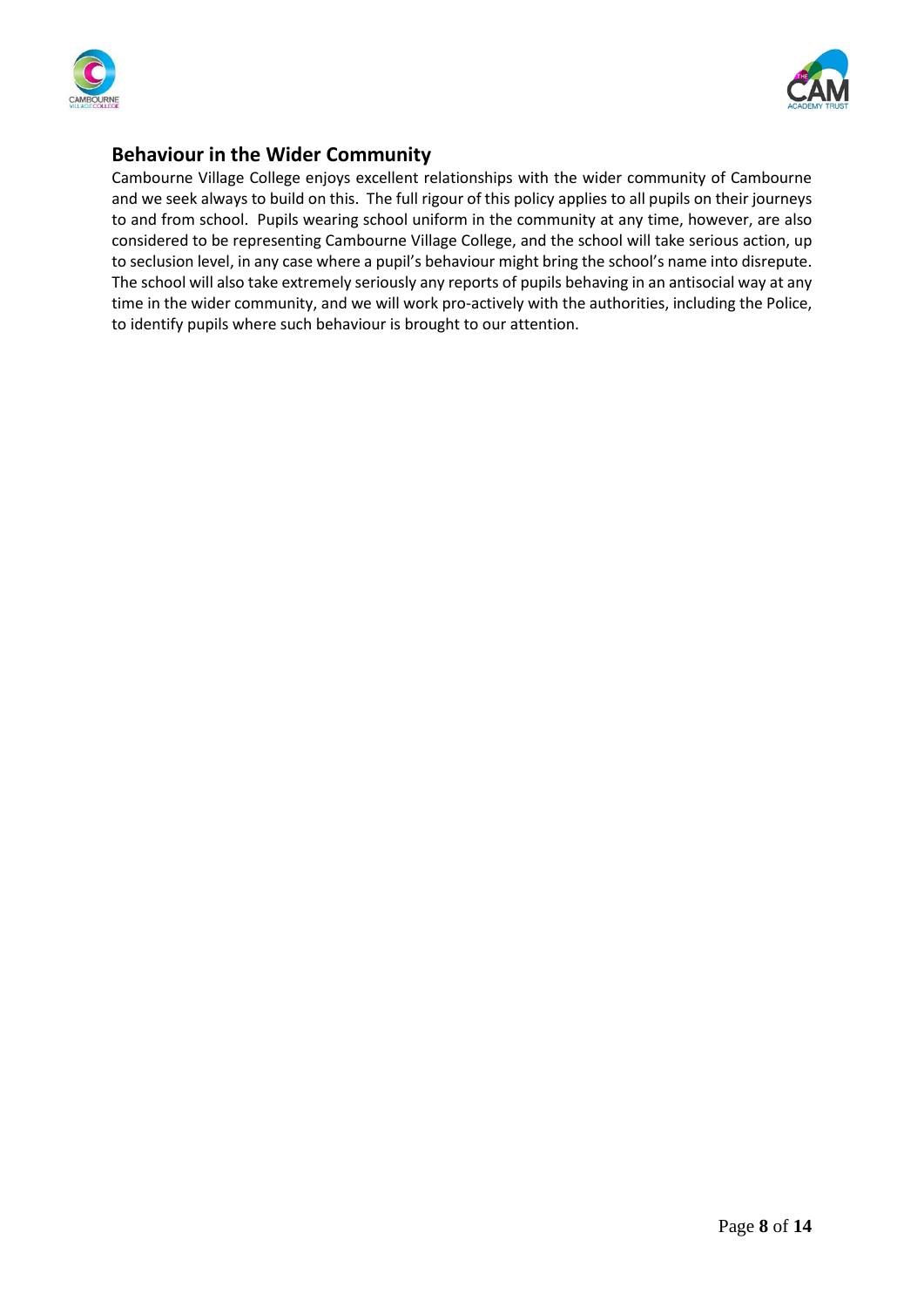



# **Behaviour in the Wider Community**

Cambourne Village College enjoys excellent relationships with the wider community of Cambourne and we seek always to build on this. The full rigour of this policy applies to all pupils on their journeys to and from school. Pupils wearing school uniform in the community at any time, however, are also considered to be representing Cambourne Village College, and the school will take serious action, up to seclusion level, in any case where a pupil's behaviour might bring the school's name into disrepute. The school will also take extremely seriously any reports of pupils behaving in an antisocial way at any time in the wider community, and we will work pro-actively with the authorities, including the Police, to identify pupils where such behaviour is brought to our attention.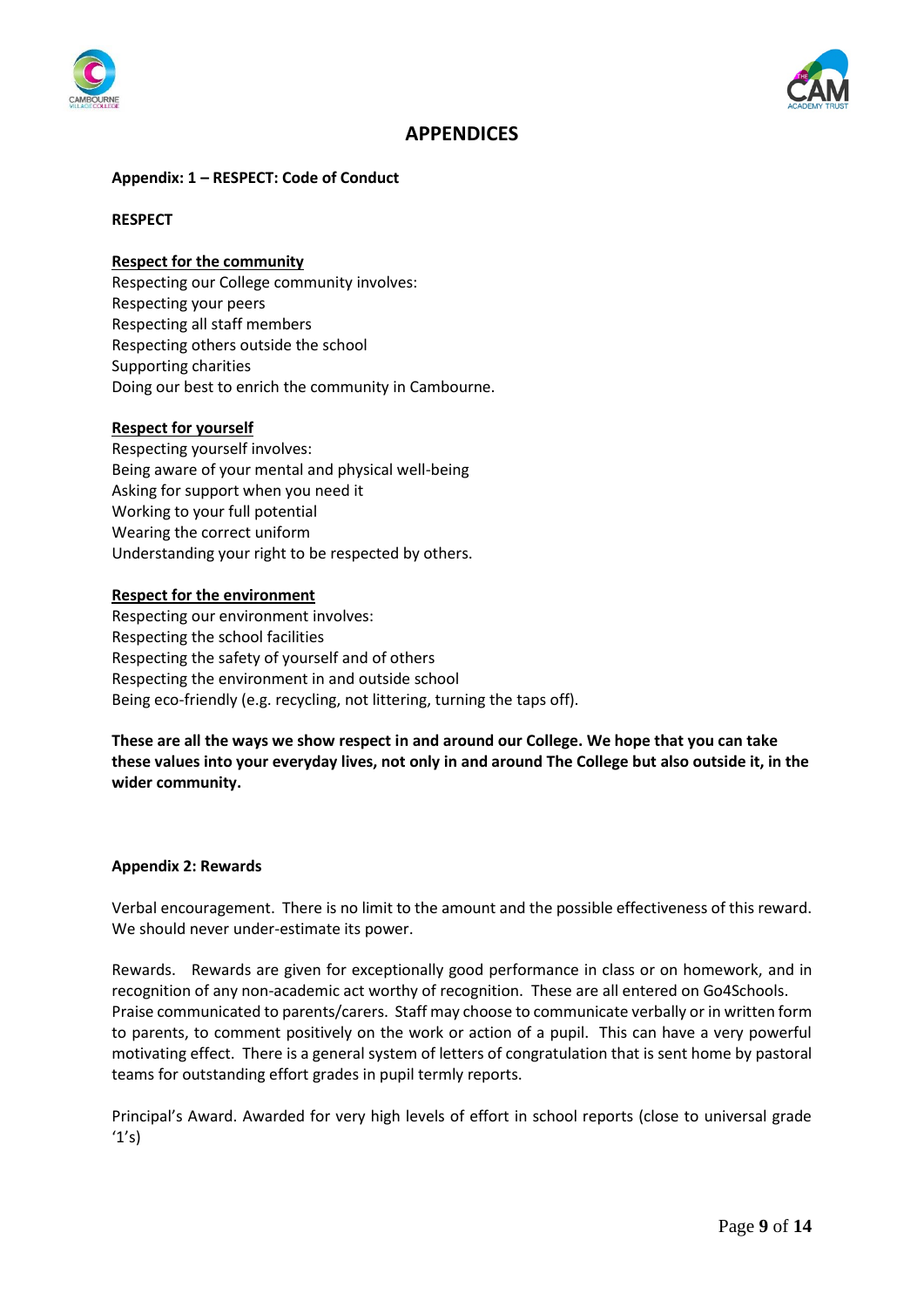



# **APPENDICES**

#### **Appendix: 1 – RESPECT: Code of Conduct**

#### **RESPECT**

### **Respect for the community**

Respecting our College community involves: Respecting your peers Respecting all staff members Respecting others outside the school Supporting charities Doing our best to enrich the community in Cambourne.

#### **Respect for yourself**

Respecting yourself involves: Being aware of your mental and physical well-being Asking for support when you need it Working to your full potential Wearing the correct uniform Understanding your right to be respected by others.

#### **Respect for the environment**

Respecting our environment involves: Respecting the school facilities Respecting the safety of yourself and of others Respecting the environment in and outside school Being eco-friendly (e.g. recycling, not littering, turning the taps off).

**These are all the ways we show respect in and around our College. We hope that you can take these values into your everyday lives, not only in and around The College but also outside it, in the wider community.**

#### **Appendix 2: Rewards**

Verbal encouragement. There is no limit to the amount and the possible effectiveness of this reward. We should never under-estimate its power.

Rewards. Rewards are given for exceptionally good performance in class or on homework, and in recognition of any non-academic act worthy of recognition. These are all entered on Go4Schools. Praise communicated to parents/carers. Staff may choose to communicate verbally or in written form to parents, to comment positively on the work or action of a pupil. This can have a very powerful motivating effect. There is a general system of letters of congratulation that is sent home by pastoral teams for outstanding effort grades in pupil termly reports.

Principal's Award. Awarded for very high levels of effort in school reports (close to universal grade  $'1's$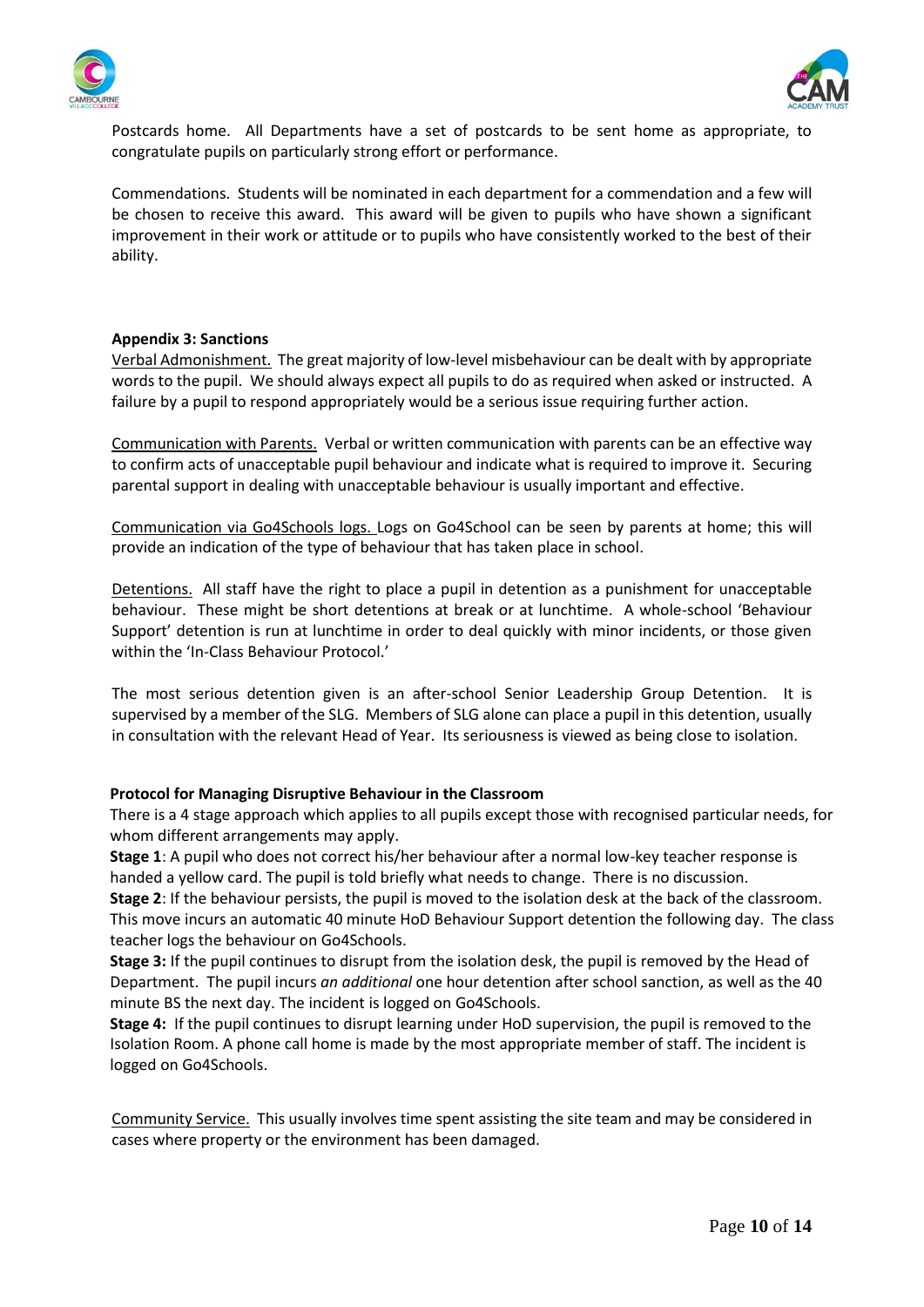



Postcards home. All Departments have a set of postcards to be sent home as appropriate, to congratulate pupils on particularly strong effort or performance.

Commendations. Students will be nominated in each department for a commendation and a few will be chosen to receive this award. This award will be given to pupils who have shown a significant improvement in their work or attitude or to pupils who have consistently worked to the best of their ability.

#### **Appendix 3: Sanctions**

Verbal Admonishment. The great majority of low-level misbehaviour can be dealt with by appropriate words to the pupil. We should always expect all pupils to do as required when asked or instructed. A failure by a pupil to respond appropriately would be a serious issue requiring further action.

Communication with Parents. Verbal or written communication with parents can be an effective way to confirm acts of unacceptable pupil behaviour and indicate what is required to improve it. Securing parental support in dealing with unacceptable behaviour is usually important and effective.

Communication via Go4Schools logs. Logs on Go4School can be seen by parents at home; this will provide an indication of the type of behaviour that has taken place in school.

Detentions. All staff have the right to place a pupil in detention as a punishment for unacceptable behaviour. These might be short detentions at break or at lunchtime. A whole-school 'Behaviour Support' detention is run at lunchtime in order to deal quickly with minor incidents, or those given within the 'In-Class Behaviour Protocol.'

The most serious detention given is an after-school Senior Leadership Group Detention. It is supervised by a member of the SLG. Members of SLG alone can place a pupil in this detention, usually in consultation with the relevant Head of Year. Its seriousness is viewed as being close to isolation.

#### **Protocol for Managing Disruptive Behaviour in the Classroom**

There is a 4 stage approach which applies to all pupils except those with recognised particular needs, for whom different arrangements may apply.

**Stage 1**: A pupil who does not correct his/her behaviour after a normal low-key teacher response is handed a yellow card. The pupil is told briefly what needs to change. There is no discussion.

**Stage 2**: If the behaviour persists, the pupil is moved to the isolation desk at the back of the classroom. This move incurs an automatic 40 minute HoD Behaviour Support detention the following day. The class teacher logs the behaviour on Go4Schools.

**Stage 3:** If the pupil continues to disrupt from the isolation desk, the pupil is removed by the Head of Department. The pupil incurs *an additional* one hour detention after school sanction, as well as the 40 minute BS the next day. The incident is logged on Go4Schools.

**Stage 4:** If the pupil continues to disrupt learning under HoD supervision, the pupil is removed to the Isolation Room. A phone call home is made by the most appropriate member of staff. The incident is logged on Go4Schools.

Community Service. This usually involves time spent assisting the site team and may be considered in cases where property or the environment has been damaged.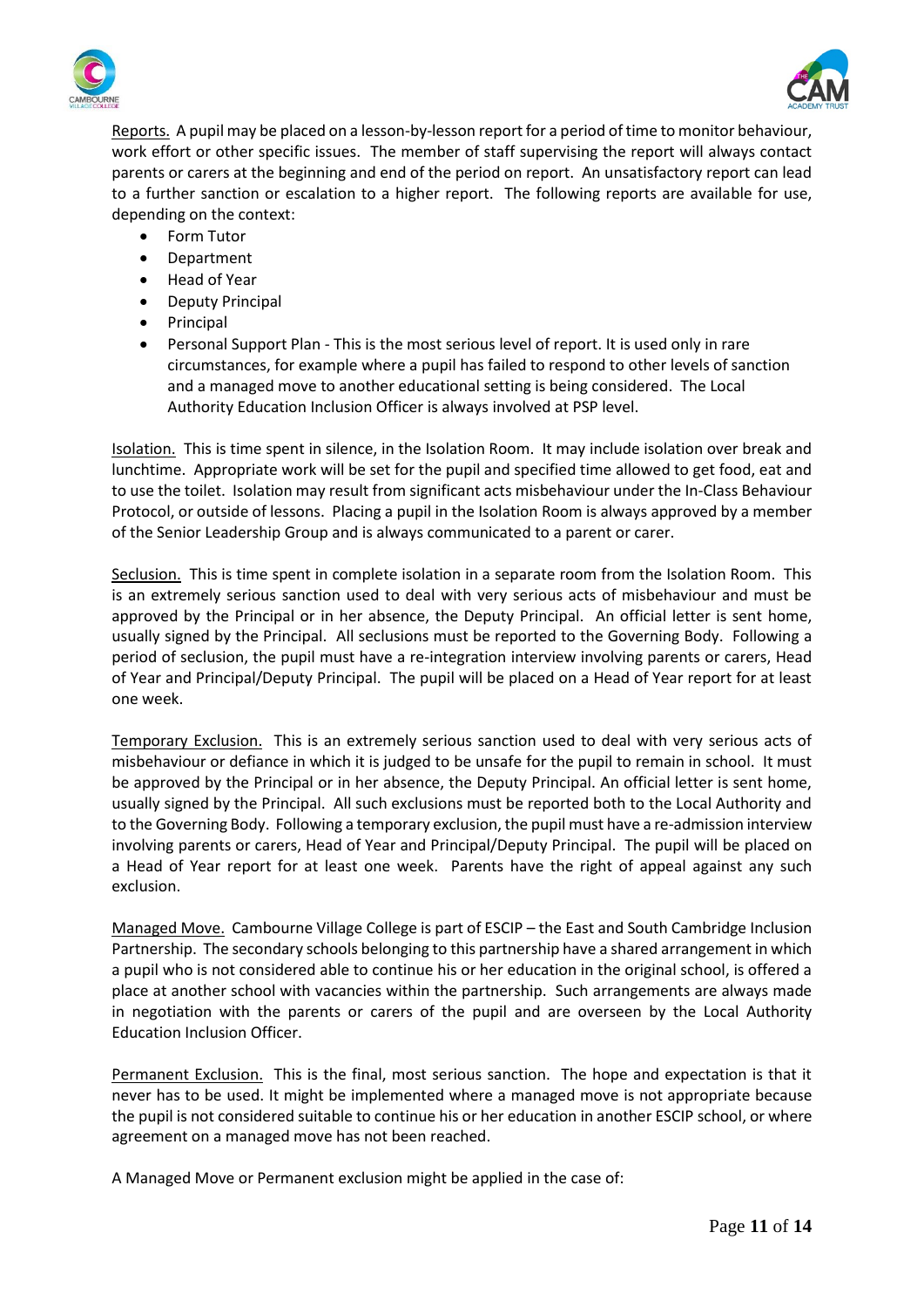



Reports. A pupil may be placed on a lesson-by-lesson report for a period of time to monitor behaviour, work effort or other specific issues. The member of staff supervising the report will always contact parents or carers at the beginning and end of the period on report. An unsatisfactory report can lead to a further sanction or escalation to a higher report. The following reports are available for use, depending on the context:

- Form Tutor
- Department
- Head of Year
- Deputy Principal
- Principal
- Personal Support Plan This is the most serious level of report. It is used only in rare circumstances, for example where a pupil has failed to respond to other levels of sanction and a managed move to another educational setting is being considered. The Local Authority Education Inclusion Officer is always involved at PSP level.

Isolation. This is time spent in silence, in the Isolation Room. It may include isolation over break and lunchtime. Appropriate work will be set for the pupil and specified time allowed to get food, eat and to use the toilet. Isolation may result from significant acts misbehaviour under the In-Class Behaviour Protocol, or outside of lessons. Placing a pupil in the Isolation Room is always approved by a member of the Senior Leadership Group and is always communicated to a parent or carer.

Seclusion. This is time spent in complete isolation in a separate room from the Isolation Room. This is an extremely serious sanction used to deal with very serious acts of misbehaviour and must be approved by the Principal or in her absence, the Deputy Principal. An official letter is sent home, usually signed by the Principal. All seclusions must be reported to the Governing Body. Following a period of seclusion, the pupil must have a re-integration interview involving parents or carers, Head of Year and Principal/Deputy Principal. The pupil will be placed on a Head of Year report for at least one week.

Temporary Exclusion. This is an extremely serious sanction used to deal with very serious acts of misbehaviour or defiance in which it is judged to be unsafe for the pupil to remain in school. It must be approved by the Principal or in her absence, the Deputy Principal. An official letter is sent home, usually signed by the Principal. All such exclusions must be reported both to the Local Authority and to the Governing Body. Following a temporary exclusion, the pupil must have a re-admission interview involving parents or carers, Head of Year and Principal/Deputy Principal. The pupil will be placed on a Head of Year report for at least one week. Parents have the right of appeal against any such exclusion.

Managed Move. Cambourne Village College is part of ESCIP – the East and South Cambridge Inclusion Partnership. The secondary schools belonging to this partnership have a shared arrangement in which a pupil who is not considered able to continue his or her education in the original school, is offered a place at another school with vacancies within the partnership. Such arrangements are always made in negotiation with the parents or carers of the pupil and are overseen by the Local Authority Education Inclusion Officer.

Permanent Exclusion. This is the final, most serious sanction. The hope and expectation is that it never has to be used. It might be implemented where a managed move is not appropriate because the pupil is not considered suitable to continue his or her education in another ESCIP school, or where agreement on a managed move has not been reached.

A Managed Move or Permanent exclusion might be applied in the case of: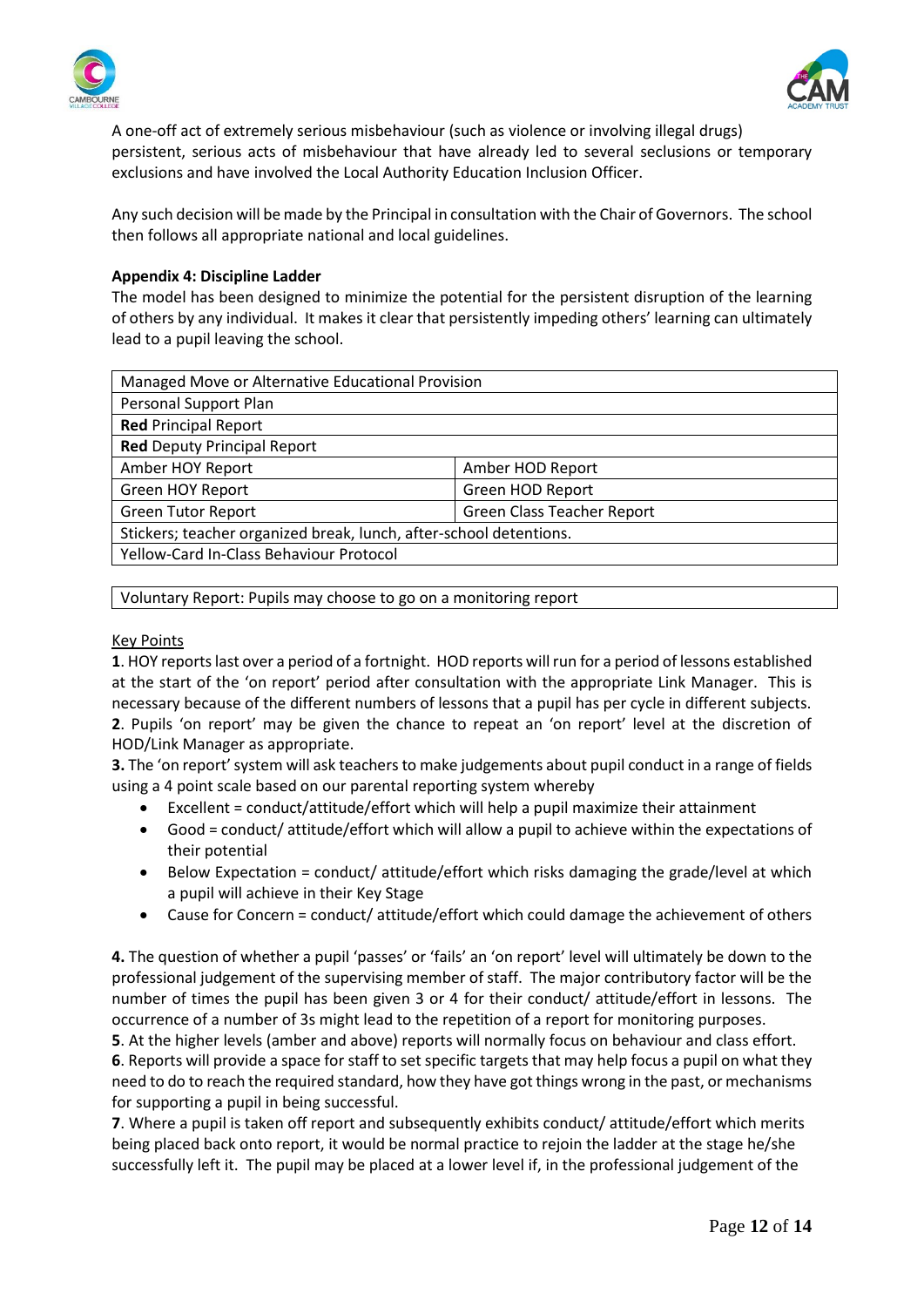



A one-off act of extremely serious misbehaviour (such as violence or involving illegal drugs) persistent, serious acts of misbehaviour that have already led to several seclusions or temporary exclusions and have involved the Local Authority Education Inclusion Officer.

Any such decision will be made by the Principal in consultation with the Chair of Governors. The school then follows all appropriate national and local guidelines.

### **Appendix 4: Discipline Ladder**

The model has been designed to minimize the potential for the persistent disruption of the learning of others by any individual. It makes it clear that persistently impeding others' learning can ultimately lead to a pupil leaving the school.

| Managed Move or Alternative Educational Provision                  |                            |  |
|--------------------------------------------------------------------|----------------------------|--|
| Personal Support Plan                                              |                            |  |
| <b>Red Principal Report</b>                                        |                            |  |
| <b>Red Deputy Principal Report</b>                                 |                            |  |
| Amber HOY Report                                                   | Amber HOD Report           |  |
| <b>Green HOY Report</b>                                            | Green HOD Report           |  |
| <b>Green Tutor Report</b>                                          | Green Class Teacher Report |  |
| Stickers; teacher organized break, lunch, after-school detentions. |                            |  |
| Yellow-Card In-Class Behaviour Protocol                            |                            |  |
|                                                                    |                            |  |

Voluntary Report: Pupils may choose to go on a monitoring report

### Key Points

**1**. HOY reports last over a period of a fortnight. HOD reports will run for a period of lessons established at the start of the 'on report' period after consultation with the appropriate Link Manager. This is necessary because of the different numbers of lessons that a pupil has per cycle in different subjects. **2**. Pupils 'on report' may be given the chance to repeat an 'on report' level at the discretion of HOD/Link Manager as appropriate.

**3.** The 'on report' system will ask teachers to make judgements about pupil conduct in a range of fields using a 4 point scale based on our parental reporting system whereby

- Excellent = conduct/attitude/effort which will help a pupil maximize their attainment
- Good = conduct/ attitude/effort which will allow a pupil to achieve within the expectations of their potential
- Below Expectation = conduct/ attitude/effort which risks damaging the grade/level at which a pupil will achieve in their Key Stage
- Cause for Concern = conduct/ attitude/effort which could damage the achievement of others

**4.** The question of whether a pupil 'passes' or 'fails' an 'on report' level will ultimately be down to the professional judgement of the supervising member of staff. The major contributory factor will be the number of times the pupil has been given 3 or 4 for their conduct/ attitude/effort in lessons. The occurrence of a number of 3s might lead to the repetition of a report for monitoring purposes.

**5**. At the higher levels (amber and above) reports will normally focus on behaviour and class effort. **6**. Reports will provide a space for staff to set specific targets that may help focus a pupil on what they need to do to reach the required standard, how they have got things wrong in the past, or mechanisms for supporting a pupil in being successful.

**7**. Where a pupil is taken off report and subsequently exhibits conduct/ attitude/effort which merits being placed back onto report, it would be normal practice to rejoin the ladder at the stage he/she successfully left it. The pupil may be placed at a lower level if, in the professional judgement of the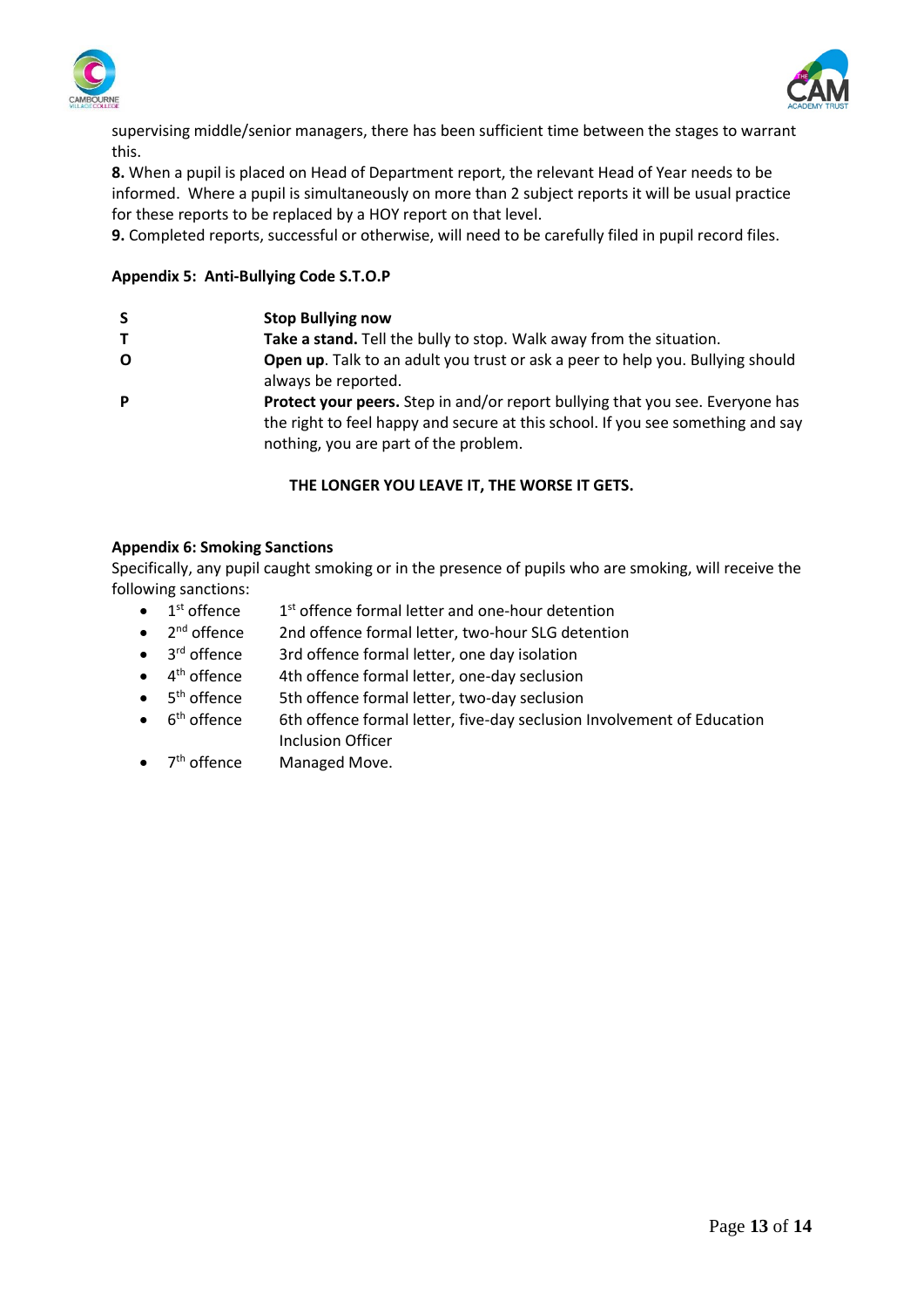



supervising middle/senior managers, there has been sufficient time between the stages to warrant this.

**8.** When a pupil is placed on Head of Department report, the relevant Head of Year needs to be informed. Where a pupil is simultaneously on more than 2 subject reports it will be usual practice for these reports to be replaced by a HOY report on that level.

**9.** Completed reports, successful or otherwise, will need to be carefully filed in pupil record files.

## **Appendix 5: Anti-Bullying Code S.T.O.P**

- **T Take a stand.** Tell the bully to stop. Walk away from the situation.
- **O Open up**. Talk to an adult you trust or ask a peer to help you. Bullying should always be reported.
- **P Protect your peers.** Step in and/or report bullying that you see. Everyone has the right to feel happy and secure at this school. If you see something and say nothing, you are part of the problem.

### **THE LONGER YOU LEAVE IT, THE WORSE IT GETS.**

#### **Appendix 6: Smoking Sanctions**

Specifically, any pupil caught smoking or in the presence of pupils who are smoking, will receive the following sanctions:

- $\bullet$  $1<sup>st</sup>$  offence  $1<sup>st</sup>$  offence formal letter and one-hour detention
- $\bullet$  2<sup>nd</sup> offence 2nd offence formal letter, two-hour SLG detention
- 3<sup>rd</sup> offence 3rd offence formal letter, one day isolation
- $\bullet$  4<sup>th</sup> offence 4th offence formal letter, one-day seclusion
- 5<sup>th</sup> offence 5th offence formal letter, two-day seclusion
- 6<sup>th</sup> offence 6th offence formal letter, five-day seclusion Involvement of Education Inclusion Officer
- 7<sup>th</sup> offence Managed Move.